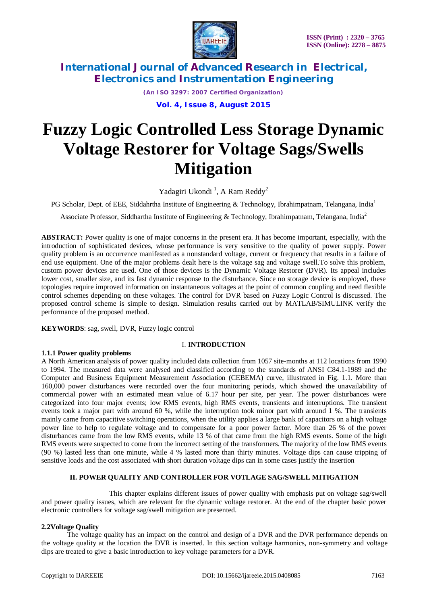

*(An ISO 3297: 2007 Certified Organization)*

**Vol. 4, Issue 8, August 2015**

# **Fuzzy Logic Controlled Less Storage Dynamic Voltage Restorer for Voltage Sags/Swells Mitigation**

Yadagiri Ukondi<sup>1</sup>, A Ram Reddy<sup>2</sup>

PG Scholar, Dept. of EEE, Siddahrtha Institute of Engineering & Technology, Ibrahimpatnam, Telangana, India<sup>1</sup>

Associate Professor, Siddhartha Institute of Engineering & Technology, Ibrahimpatnam, Telangana, India<sup>2</sup>

**ABSTRACT:** Power quality is one of major concerns in the present era. It has become important, especially, with the introduction of sophisticated devices, whose performance is very sensitive to the quality of power supply. Power quality problem is an occurrence manifested as a nonstandard voltage, current or frequency that results in a failure of end use equipment. One of the major problems dealt here is the voltage sag and voltage swell.To solve this problem, custom power devices are used. One of those devices is the Dynamic Voltage Restorer (DVR). Its appeal includes lower cost, smaller size, and its fast dynamic response to the disturbance. Since no storage device is employed, these topologies require improved information on instantaneous voltages at the point of common coupling and need flexible control schemes depending on these voltages. The control for DVR based on Fuzzy Logic Control is discussed. The proposed control scheme is simple to design. Simulation results carried out by MATLAB/SIMULINK verify the performance of the proposed method.

**KEYWORDS**: sag, swell, DVR, Fuzzy logic control

### I. **INTRODUCTION**

### **1.1.1 Power quality problems**

A North American analysis of power quality included data collection from 1057 site-months at 112 locations from 1990 to 1994. The measured data were analysed and classified according to the standards of ANSI C84.1-1989 and the Computer and Business Equipment Measurement Association (CEBEMA) curve, illustrated in Fig. 1.1. More than 160,000 power disturbances were recorded over the four monitoring periods, which showed the unavailability of commercial power with an estimated mean value of 6.17 hour per site, per year. The power disturbances were categorized into four major events; low RMS events, high RMS events, transients and interruptions. The transient events took a major part with around 60 %, while the interruption took minor part with around 1 %. The transients mainly came from capacitive switching operations, when the utility applies a large bank of capacitors on a high voltage power line to help to regulate voltage and to compensate for a poor power factor. More than 26 % of the power disturbances came from the low RMS events, while 13 % of that came from the high RMS events. Some of the high RMS events were suspected to come from the incorrect setting of the transformers. The majority of the low RMS events (90 %) lasted less than one minute, while 4 % lasted more than thirty minutes. Voltage dips can cause tripping of sensitive loads and the cost associated with short duration voltage dips can in some cases justify the insertion

### **II. POWER QUALITY AND CONTROLLER FOR VOTLAGE SAG/SWELL MITIGATION**

This chapter explains different issues of power quality with emphasis put on voltage sag/swell and power quality issues, which are relevant for the dynamic voltage restorer. At the end of the chapter basic power electronic controllers for voltage sag/swell mitigation are presented.

### **2.2Voltage Quality**

The voltage quality has an impact on the control and design of a DVR and the DVR performance depends on the voltage quality at the location the DVR is inserted. In this section voltage harmonics, non-symmetry and voltage dips are treated to give a basic introduction to key voltage parameters for a DVR.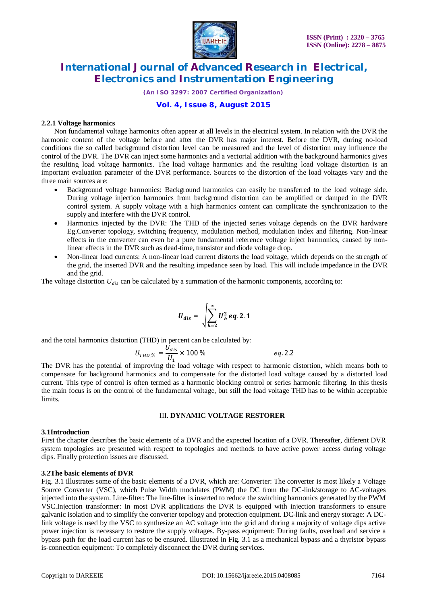

*(An ISO 3297: 2007 Certified Organization)*

### **Vol. 4, Issue 8, August 2015**

#### **2.2.1 Voltage harmonics**

Non fundamental voltage harmonics often appear at all levels in the electrical system. In relation with the DVR the harmonic content of the voltage before and after the DVR has major interest. Before the DVR, during no-load conditions the so called background distortion level can be measured and the level of distortion may influence the control of the DVR. The DVR can inject some harmonics and a vectorial addition with the background harmonics gives the resulting load voltage harmonics. The load voltage harmonics and the resulting load voltage distortion is an important evaluation parameter of the DVR performance. Sources to the distortion of the load voltages vary and the three main sources are:

- Background voltage harmonics: Background harmonics can easily be transferred to the load voltage side. During voltage injection harmonics from background distortion can be amplified or damped in the DVR control system. A supply voltage with a high harmonics content can complicate the synchronization to the supply and interfere with the DVR control.
- Harmonics injected by the DVR: The THD of the injected series voltage depends on the DVR hardware Eg.Converter topology, switching frequency, modulation method, modulation index and filtering. Non-linear effects in the converter can even be a pure fundamental reference voltage inject harmonics, caused by nonlinear effects in the DVR such as dead-time, transistor and diode voltage drop.
- Non-linear load currents: A non-linear load current distorts the load voltage, which depends on the strength of the grid, the inserted DVR and the resulting impedance seen by load. This will include impedance in the DVR and the grid.

The voltage distortion *Udis* can be calculated by a summation of the harmonic components, according to:

$$
U_{dis} = \sqrt{\sum_{h=2}^{\infty} U_h^2} \, eq. 2.1
$$

and the total harmonics distortion (THD) in percent can be calculated by:

$$
U_{THD,\%} = \frac{U_{dis}}{U_1} \times 100\,\%
$$

The DVR has the potential of improving the load voltage with respect to harmonic distortion, which means both to compensate for background harmonics and to compensate for the distorted load voltage caused by a distorted load current. This type of control is often termed as a harmonic blocking control or series harmonic filtering. In this thesis the main focus is on the control of the fundamental voltage, but still the load voltage THD has to be within acceptable limits.

### III. **DYNAMIC VOLTAGE RESTORER**

#### **3.1Introduction**

First the chapter describes the basic elements of a DVR and the expected location of a DVR. Thereafter, different DVR system topologies are presented with respect to topologies and methods to have active power access during voltage dips. Finally protection issues are discussed.

#### **3.2The basic elements of DVR**

Fig. 3.1 illustrates some of the basic elements of a DVR, which are: Converter: The converter is most likely a Voltage Source Converter (VSC), which Pulse Width modulates (PWM) the DC from the DC-link/storage to AC-voltages injected into the system. Line-filter: The line-filter is inserted to reduce the switching harmonics generated by the PWM VSC.Injection transformer: In most DVR applications the DVR is equipped with injection transformers to ensure galvanic isolation and to simplify the converter topology and protection equipment. DC-link and energy storage: A DClink voltage is used by the VSC to synthesize an AC voltage into the grid and during a majority of voltage dips active power injection is necessary to restore the supply voltages. By-pass equipment: During faults, overload and service a bypass path for the load current has to be ensured. Illustrated in Fig. 3.1 as a mechanical bypass and a thyristor bypass is-connection equipment: To completely disconnect the DVR during services.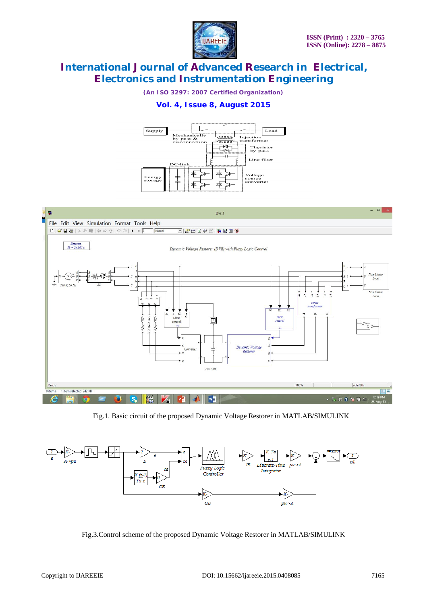

*(An ISO 3297: 2007 Certified Organization)*

### **Vol. 4, Issue 8, August 2015**





Fig.1. Basic circuit of the proposed Dynamic Voltage Restorer in MATLAB/SIMULINK



Fig.3.Control scheme of the proposed Dynamic Voltage Restorer in MATLAB/SIMULINK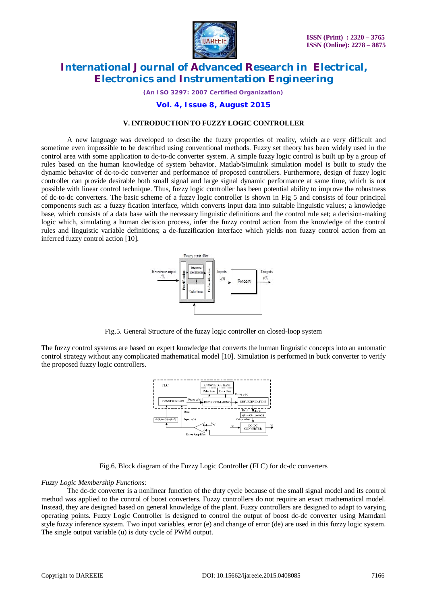

*(An ISO 3297: 2007 Certified Organization)*

### **Vol. 4, Issue 8, August 2015**

#### **V. INTRODUCTION TO FUZZY LOGIC CONTROLLER**

A new language was developed to describe the fuzzy properties of reality, which are very difficult and sometime even impossible to be described using conventional methods. Fuzzy set theory has been widely used in the control area with some application to dc-to-dc converter system. A simple fuzzy logic control is built up by a group of rules based on the human knowledge of system behavior. Matlab/Simulink simulation model is built to study the dynamic behavior of dc-to-dc converter and performance of proposed controllers. Furthermore, design of fuzzy logic controller can provide desirable both small signal and large signal dynamic performance at same time, which is not possible with linear control technique. Thus, fuzzy logic controller has been potential ability to improve the robustness of dc-to-dc converters. The basic scheme of a fuzzy logic controller is shown in Fig 5 and consists of four principal components such as: a fuzzy fication interface, which converts input data into suitable linguistic values; a knowledge base, which consists of a data base with the necessary linguistic definitions and the control rule set; a decision-making logic which, simulating a human decision process, infer the fuzzy control action from the knowledge of the control rules and linguistic variable definitions; a de-fuzzification interface which yields non fuzzy control action from an inferred fuzzy control action [10].



Fig.5. General Structure of the fuzzy logic controller on closed-loop system

The fuzzy control systems are based on expert knowledge that converts the human linguistic concepts into an automatic control strategy without any complicated mathematical model [10]. Simulation is performed in buck converter to verify the proposed fuzzy logic controllers.



Fig.6. Block diagram of the Fuzzy Logic Controller (FLC) for dc-dc converters

### *Fuzzy Logic Membership Functions:*

The dc-dc converter is a nonlinear function of the duty cycle because of the small signal model and its control method was applied to the control of boost converters. Fuzzy controllers do not require an exact mathematical model. Instead, they are designed based on general knowledge of the plant. Fuzzy controllers are designed to adapt to varying operating points. Fuzzy Logic Controller is designed to control the output of boost dc-dc converter using Mamdani style fuzzy inference system. Two input variables, error (e) and change of error (de) are used in this fuzzy logic system. The single output variable (u) is duty cycle of PWM output.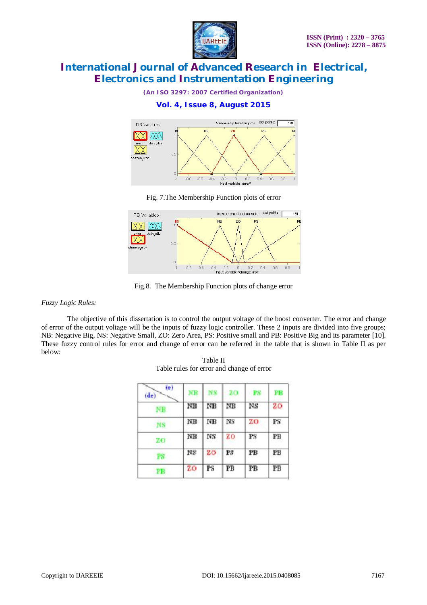

*(An ISO 3297: 2007 Certified Organization)*

### **Vol. 4, Issue 8, August 2015**



Fig. 7.The Membership Function plots of error



Fig.8. The Membership Function plots of change error

*Fuzzy Logic Rules:*

The objective of this dissertation is to control the output voltage of the boost converter. The error and change of error of the output voltage will be the inputs of fuzzy logic controller. These 2 inputs are divided into five groups; NB: Negative Big, NS: Negative Small, ZO: Zero Area, PS: Positive small and PB: Positive Big and its parameter [10]. These fuzzy control rules for error and change of error can be referred in the table that is shown in Table II as per below:

| (e)<br>(de) | NΒ            | NS | 20  | <b>PS</b> | FВ |
|-------------|---------------|----|-----|-----------|----|
| NΒ          | NB            | NB | ΝB  | NS        | 20 |
| <b>NS</b>   | NΒ            | NΒ | NS  | ZΟ        | PS |
| - 70        | $N\mathbb{B}$ | NS | zo  | PS        | РB |
| PS:         | NS            | 20 | PS. | PB        | PB |
| PB          | zo            | PS | РB  | РB        | PB |

Table II Table rules for error and change of error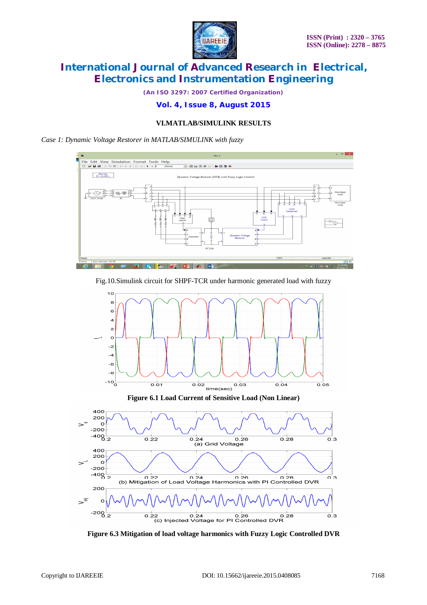

*(An ISO 3297: 2007 Certified Organization)*

### **Vol. 4, Issue 8, August 2015**

### **VI.MATLAB/SIMULINK RESULTS**

*Case 1: Dynamic Voltage Restorer in MATLAB/SIMULINK with fuzzy*



Fig.10.Simulink circuit for SHPF-TCR under harmonic generated load with fuzzy



**Figure 6.1 Load Current of Sensitive Load (Non Linear)**



**Figure 6.3 Mitigation of load voltage harmonics with Fuzzy Logic Controlled DVR**